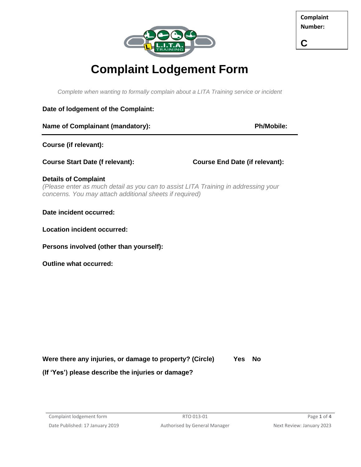

**C**

## **Complaint Lodgement Form**

*Complete when wanting to formally complain about a LITA Training service or incident*

## **Date of lodgement of the Complaint:**

| <b>Name of Complainant (mandatory):</b> |  |
|-----------------------------------------|--|
|                                         |  |

**Ph/Mobile:** 

**Course (if relevant):** 

**Course Start Date (f relevant): Course End Date (if relevant):** 

## **Details of Complaint**

*(Please enter as much detail as you can to assist LITA Training in addressing your concerns. You may attach additional sheets if required)*

**Date incident occurred:**

**Location incident occurred:** 

**Persons involved (other than yourself):** 

**Outline what occurred:**

**Were there any injuries, or damage to property? (Circle) Yes No**

**(If 'Yes') please describe the injuries or damage?**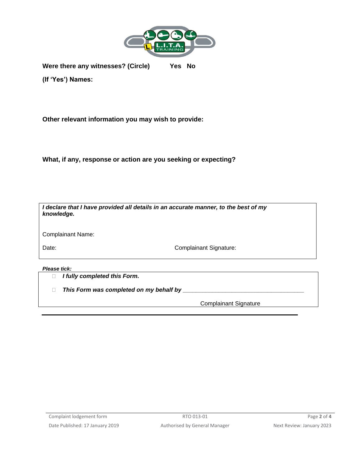

**Were there any witnesses? (Circle) Yes No**

**(If 'Yes') Names:** 

**Other relevant information you may wish to provide:**

**What, if any, response or action are you seeking or expecting?**

| I declare that I have provided all details in an accurate manner, to the best of my<br>knowledge. |                               |  |  |
|---------------------------------------------------------------------------------------------------|-------------------------------|--|--|
| <b>Complainant Name:</b>                                                                          |                               |  |  |
| Date:                                                                                             | <b>Complainant Signature:</b> |  |  |
| Please tick:                                                                                      |                               |  |  |

*I fully completed this Form.*

*This Form was completed on my behalf by \_\_\_\_\_\_\_\_\_\_\_\_\_\_\_\_\_\_\_\_\_\_\_\_\_\_\_\_\_\_\_\_\_\_\_\_\_*

Complainant Signature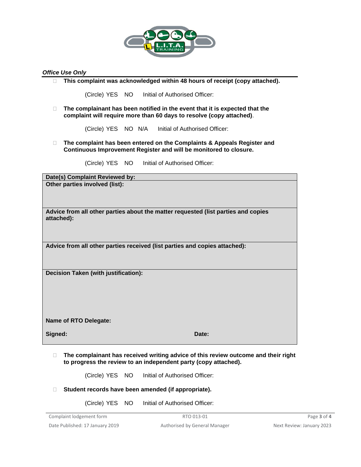

## *Office Use Only*

**This complaint was acknowledged within 48 hours of receipt (copy attached).** 

(Circle) YES NO Initial of Authorised Officer:

 **The complainant has been notified in the event that it is expected that the complaint will require more than 60 days to resolve (copy attached)**.

(Circle) YES NO N/A Initial of Authorised Officer:

 **The complaint has been entered on the Complaints & Appeals Register and Continuous Improvement Register and will be monitored to closure.** 

(Circle) YES NO Initial of Authorised Officer:

**Date(s) Complaint Reviewed by: Other parties involved (list):**

**Advice from all other parties about the matter requested (list parties and copies attached):**

**Advice from all other parties received (list parties and copies attached):**

**Decision Taken (with justification):**

**Name of RTO Delegate:**

**Signed: Date:**

 **The complainant has received writing advice of this review outcome and their right to progress the review to an independent party (copy attached).** 

(Circle) YES NO Initial of Authorised Officer:

- **Student records have been amended (if appropriate).**
	- (Circle) YES NO Initial of Authorised Officer: